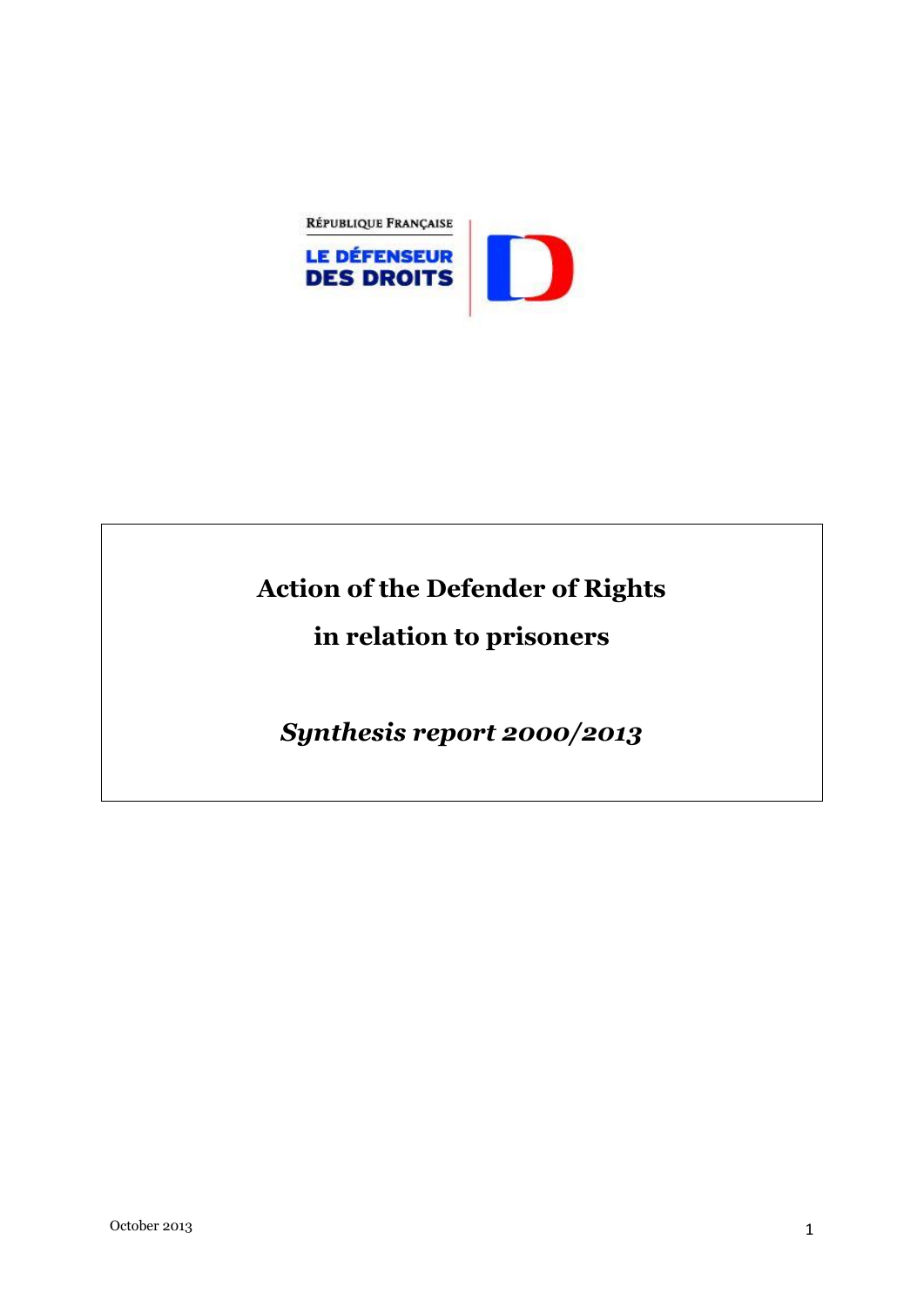

# **Action of the Defender of Rights**

## **in relation to prisoners**

*Synthesis report 2000/2013*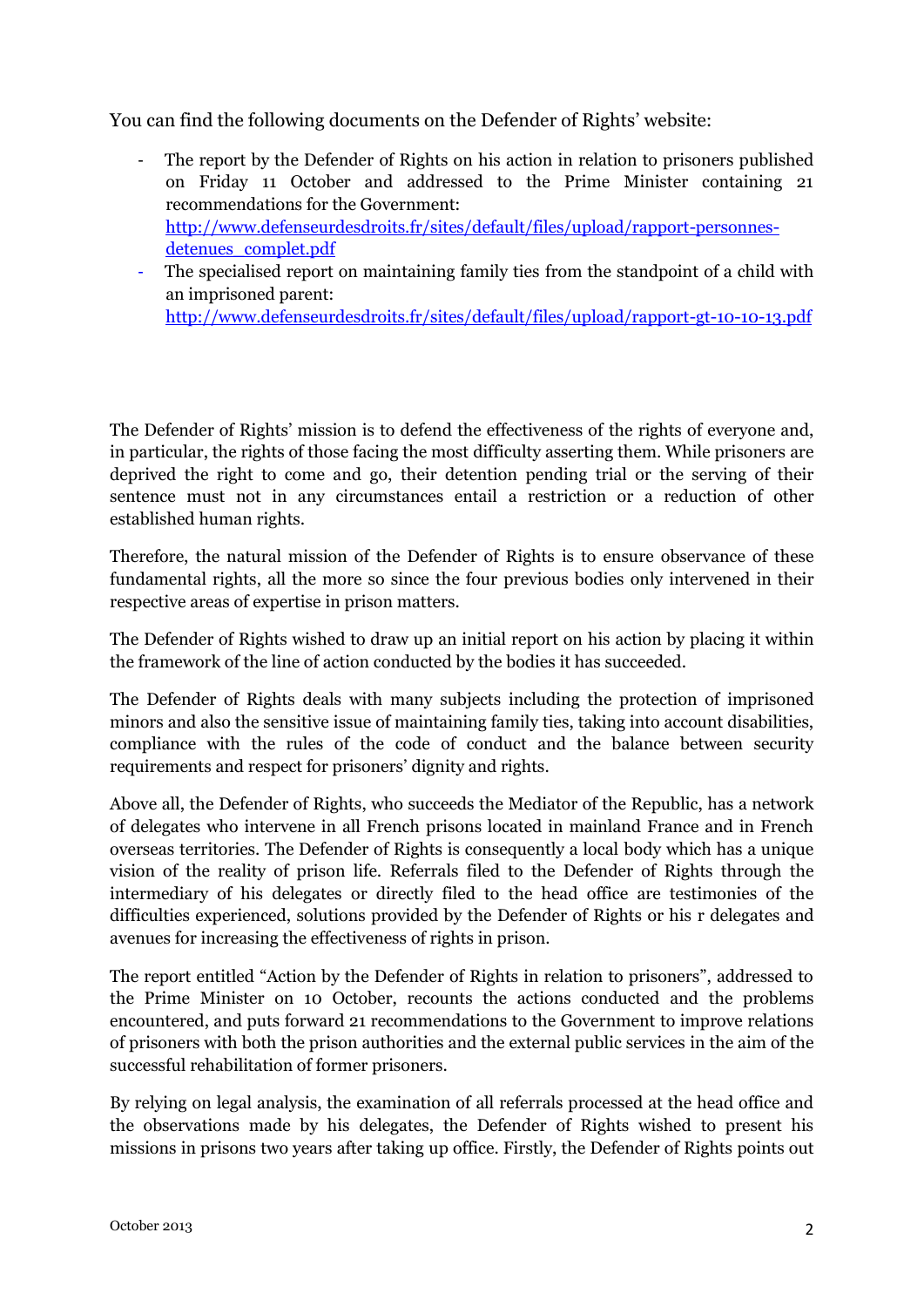You can find the following documents on the Defender of Rights' website:

- The report by the Defender of Rights on his action in relation to prisoners published on Friday 11 October and addressed to the Prime Minister containing 21 recommendations for the Government: [http://www.defenseurdesdroits.fr/sites/default/files/upload/rapport-personnes](http://www.defenseurdesdroits.fr/sites/default/files/upload/rapport-personnes-detenues_complet.pdf)[detenues\\_complet.pdf](http://www.defenseurdesdroits.fr/sites/default/files/upload/rapport-personnes-detenues_complet.pdf)
- The specialised report on maintaining family ties from the standpoint of a child with an imprisoned parent: <http://www.defenseurdesdroits.fr/sites/default/files/upload/rapport-gt-10-10-13.pdf>

The Defender of Rights' mission is to defend the effectiveness of the rights of everyone and, in particular, the rights of those facing the most difficulty asserting them. While prisoners are deprived the right to come and go, their detention pending trial or the serving of their sentence must not in any circumstances entail a restriction or a reduction of other established human rights.

Therefore, the natural mission of the Defender of Rights is to ensure observance of these fundamental rights, all the more so since the four previous bodies only intervened in their respective areas of expertise in prison matters.

The Defender of Rights wished to draw up an initial report on his action by placing it within the framework of the line of action conducted by the bodies it has succeeded.

The Defender of Rights deals with many subjects including the protection of imprisoned minors and also the sensitive issue of maintaining family ties, taking into account disabilities, compliance with the rules of the code of conduct and the balance between security requirements and respect for prisoners' dignity and rights.

Above all, the Defender of Rights, who succeeds the Mediator of the Republic, has a network of delegates who intervene in all French prisons located in mainland France and in French overseas territories. The Defender of Rights is consequently a local body which has a unique vision of the reality of prison life. Referrals filed to the Defender of Rights through the intermediary of his delegates or directly filed to the head office are testimonies of the difficulties experienced, solutions provided by the Defender of Rights or his r delegates and avenues for increasing the effectiveness of rights in prison.

The report entitled "Action by the Defender of Rights in relation to prisoners", addressed to the Prime Minister on 10 October, recounts the actions conducted and the problems encountered, and puts forward 21 recommendations to the Government to improve relations of prisoners with both the prison authorities and the external public services in the aim of the successful rehabilitation of former prisoners.

By relying on legal analysis, the examination of all referrals processed at the head office and the observations made by his delegates, the Defender of Rights wished to present his missions in prisons two years after taking up office. Firstly, the Defender of Rights points out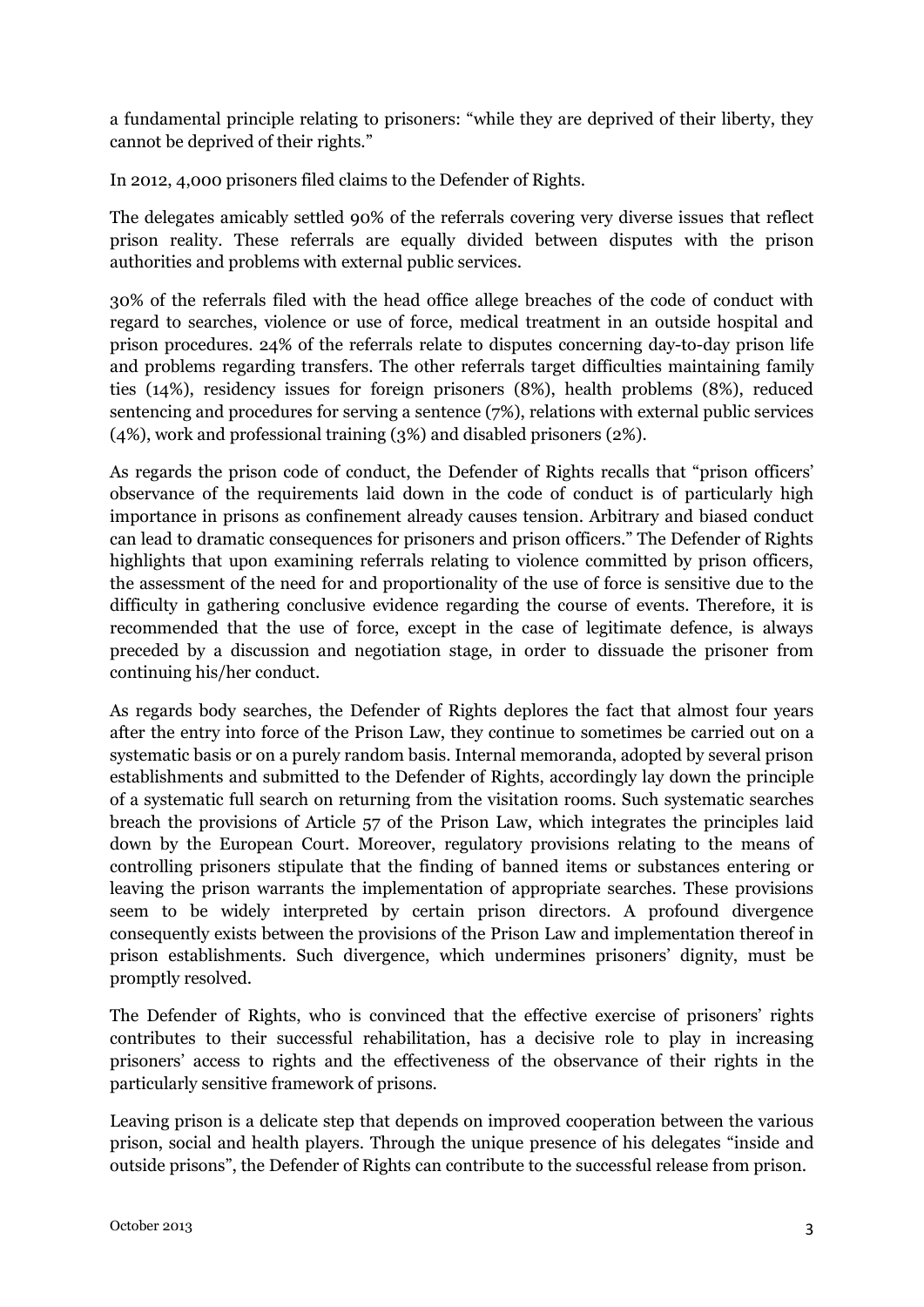a fundamental principle relating to prisoners: "while they are deprived of their liberty, they cannot be deprived of their rights."

In 2012, 4,000 prisoners filed claims to the Defender of Rights.

The delegates amicably settled 90% of the referrals covering very diverse issues that reflect prison reality. These referrals are equally divided between disputes with the prison authorities and problems with external public services.

30% of the referrals filed with the head office allege breaches of the code of conduct with regard to searches, violence or use of force, medical treatment in an outside hospital and prison procedures. 24% of the referrals relate to disputes concerning day-to-day prison life and problems regarding transfers. The other referrals target difficulties maintaining family ties (14%), residency issues for foreign prisoners (8%), health problems (8%), reduced sentencing and procedures for serving a sentence (7%), relations with external public services (4%), work and professional training (3%) and disabled prisoners (2%).

As regards the prison code of conduct, the Defender of Rights recalls that "prison officers' observance of the requirements laid down in the code of conduct is of particularly high importance in prisons as confinement already causes tension. Arbitrary and biased conduct can lead to dramatic consequences for prisoners and prison officers." The Defender of Rights highlights that upon examining referrals relating to violence committed by prison officers, the assessment of the need for and proportionality of the use of force is sensitive due to the difficulty in gathering conclusive evidence regarding the course of events. Therefore, it is recommended that the use of force, except in the case of legitimate defence, is always preceded by a discussion and negotiation stage, in order to dissuade the prisoner from continuing his/her conduct.

As regards body searches, the Defender of Rights deplores the fact that almost four years after the entry into force of the Prison Law, they continue to sometimes be carried out on a systematic basis or on a purely random basis. Internal memoranda, adopted by several prison establishments and submitted to the Defender of Rights, accordingly lay down the principle of a systematic full search on returning from the visitation rooms. Such systematic searches breach the provisions of Article 57 of the Prison Law, which integrates the principles laid down by the European Court. Moreover, regulatory provisions relating to the means of controlling prisoners stipulate that the finding of banned items or substances entering or leaving the prison warrants the implementation of appropriate searches. These provisions seem to be widely interpreted by certain prison directors. A profound divergence consequently exists between the provisions of the Prison Law and implementation thereof in prison establishments. Such divergence, which undermines prisoners' dignity, must be promptly resolved.

The Defender of Rights, who is convinced that the effective exercise of prisoners' rights contributes to their successful rehabilitation, has a decisive role to play in increasing prisoners' access to rights and the effectiveness of the observance of their rights in the particularly sensitive framework of prisons.

Leaving prison is a delicate step that depends on improved cooperation between the various prison, social and health players. Through the unique presence of his delegates "inside and outside prisons", the Defender of Rights can contribute to the successful release from prison.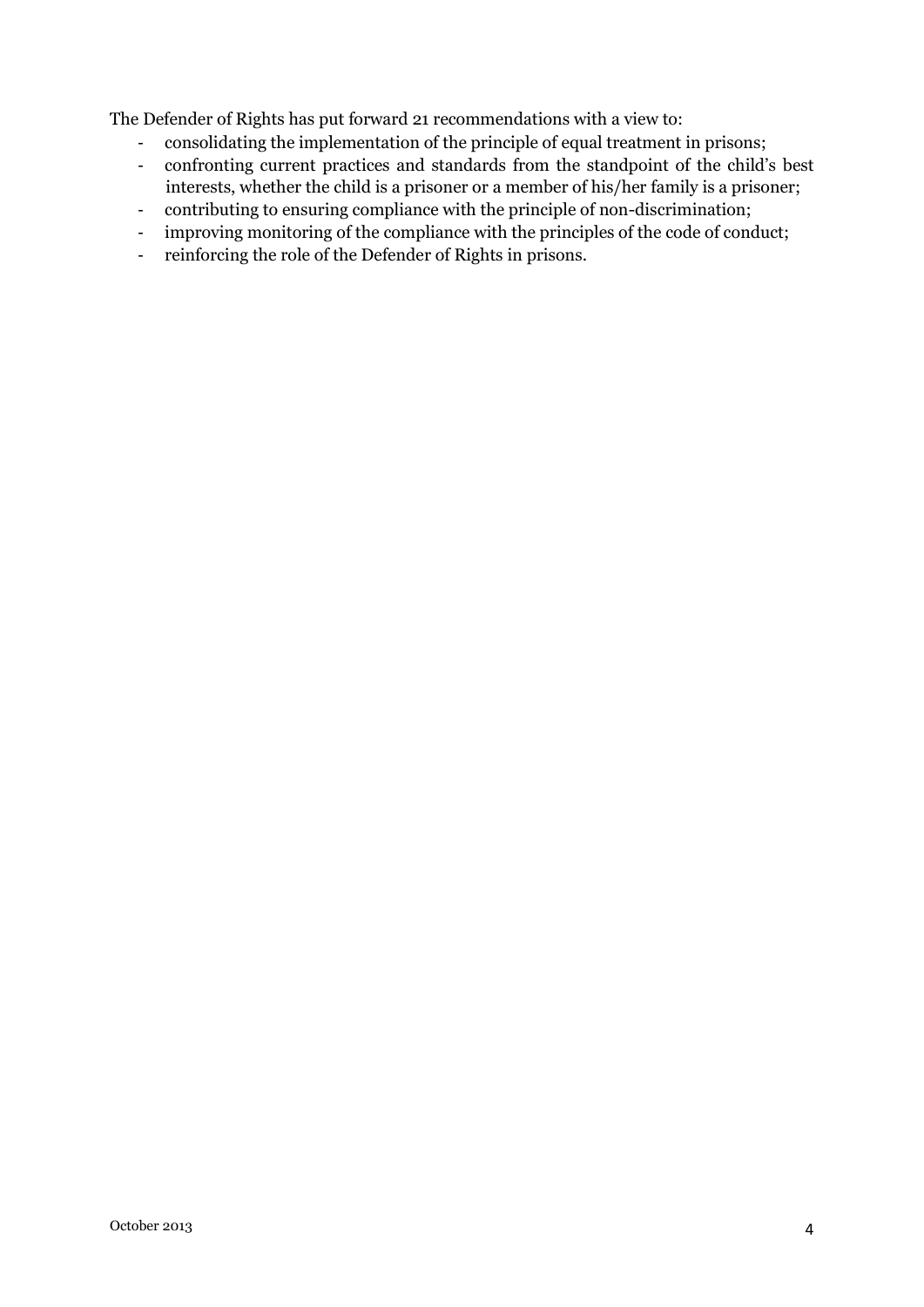The Defender of Rights has put forward 21 recommendations with a view to:

- consolidating the implementation of the principle of equal treatment in prisons;
- confronting current practices and standards from the standpoint of the child's best interests, whether the child is a prisoner or a member of his/her family is a prisoner;
- contributing to ensuring compliance with the principle of non-discrimination;
- improving monitoring of the compliance with the principles of the code of conduct;
- reinforcing the role of the Defender of Rights in prisons.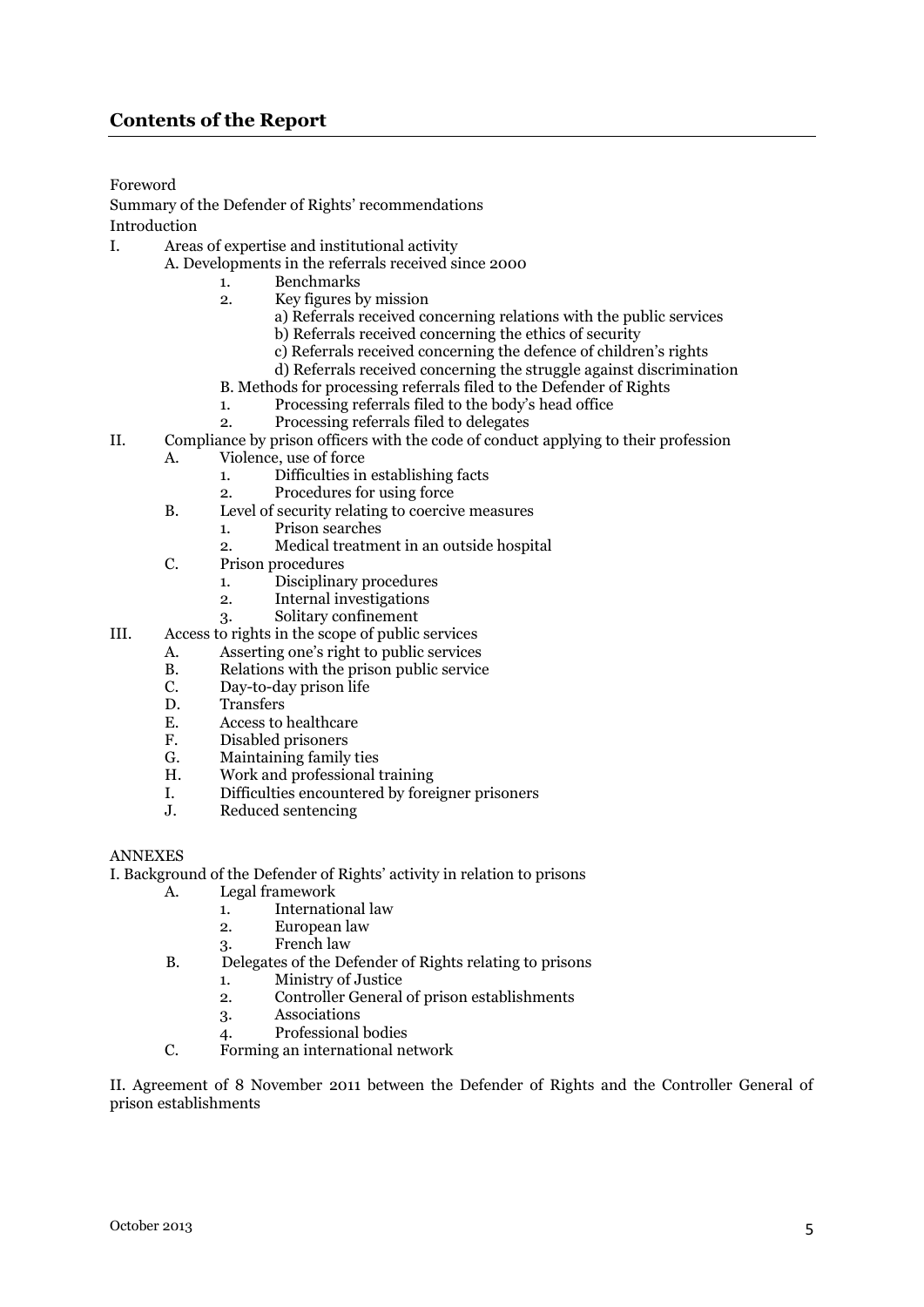Foreword

Summary of the Defender of Rights' recommendations Introduction

- I. Areas of expertise and institutional activity
	- A. Developments in the referrals received since 2000
		- 1. Benchmarks
		- 2. Key figures by mission
			- a) Referrals received concerning relations with the public services
				- b) Referrals received concerning the ethics of security
				- c) Referrals received concerning the defence of children's rights
				- d) Referrals received concerning the struggle against discrimination
		- B. Methods for processing referrals filed to the Defender of Rights
		- 1. Processing referrals filed to the body's head office
		- 2. Processing referrals filed to delegates
- II. Compliance by prison officers with the code of conduct applying to their profession
	- A. Violence, use of force
		- 1. Difficulties in establishing facts
		- 2. Procedures for using force
	- B. Level of security relating to coercive measures
		- 1. Prison searches
		- 2. Medical treatment in an outside hospital
	- C. Prison procedures
		- 1. Disciplinary procedures
		- 2. Internal investigations
		- 3. Solitary confinement
- III. Access to rights in the scope of public services
	- A. Asserting one's right to public services<br>B. Relations with the prison public service
	- B. Relations with the prison public service<br>C. Day-to-day prison life
	- C. Day-to-day prison life<br>D. Transfers
	- **Transfers**
	- E. Access to healthcare<br>F. Disabled prisoners
	- Disabled prisoners
	- G. Maintaining family ties
	- H. Work and professional training
	- I. Difficulties encountered by foreigner prisoners
	- J. Reduced sentencing

#### ANNEXES

I. Background of the Defender of Rights' activity in relation to prisons  $\Delta$  Legal framework

- Legal framework
	- 1. International law
	- 2. European law
	- 3. French law
- B. Delegates of the Defender of Rights relating to prisons
	- 1. Ministry of Justice
	- 2. Controller General of prison establishments
	- 3. Associations
	- 4. Professional bodies
- C. Forming an international network

II. Agreement of 8 November 2011 between the Defender of Rights and the Controller General of prison establishments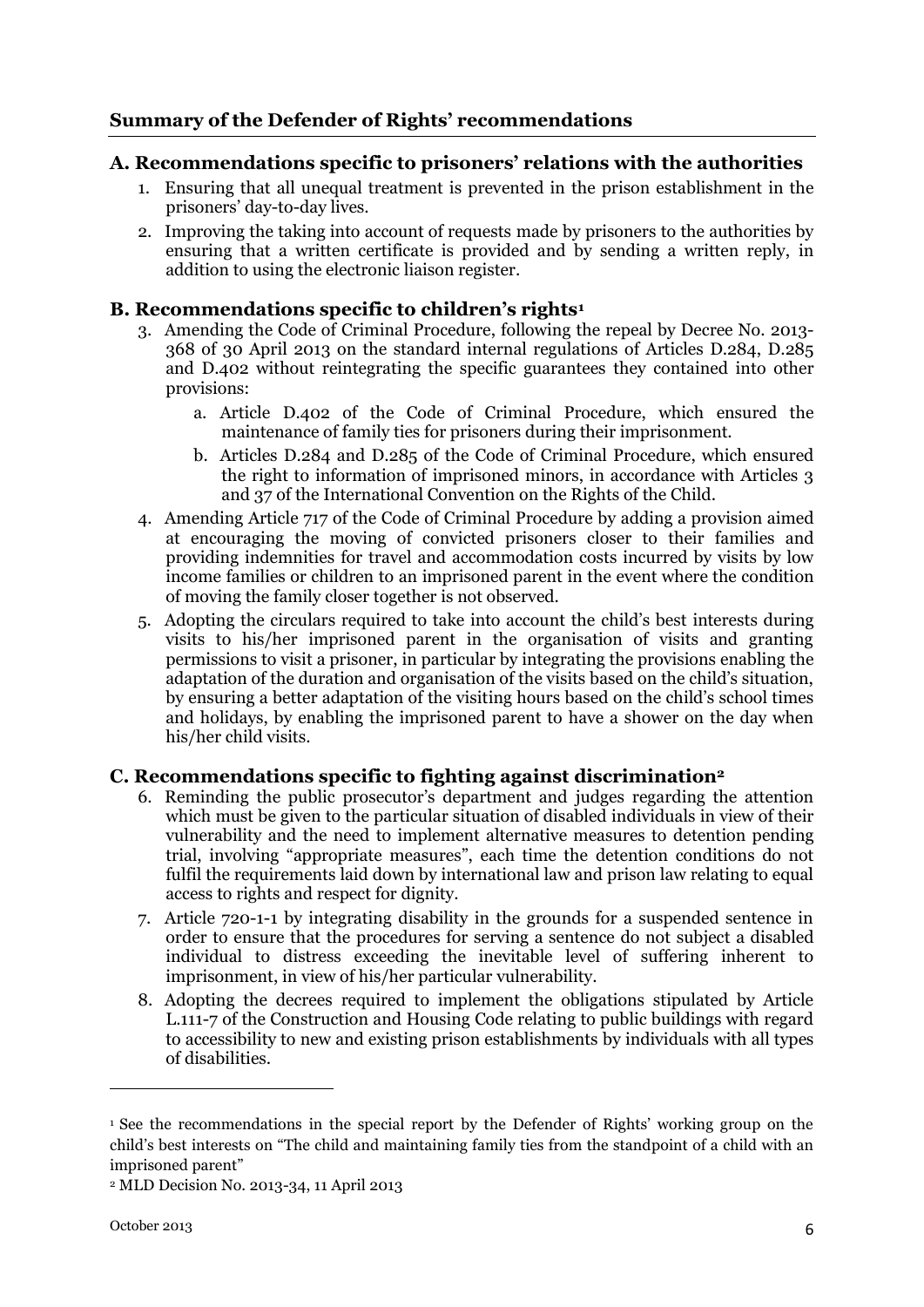### **Summary of the Defender of Rights' recommendations**

#### **A. Recommendations specific to prisoners' relations with the authorities**

- 1. Ensuring that all unequal treatment is prevented in the prison establishment in the prisoners' day-to-day lives.
- 2. Improving the taking into account of requests made by prisoners to the authorities by ensuring that a written certificate is provided and by sending a written reply, in addition to using the electronic liaison register.

#### **B. Recommendations specific to children's rights<sup>1</sup>**

- 3. Amending the Code of Criminal Procedure, following the repeal by Decree No. 2013- 368 of 30 April 2013 on the standard internal regulations of Articles D.284, D.285 and D.402 without reintegrating the specific guarantees they contained into other provisions:
	- a. Article D.402 of the Code of Criminal Procedure, which ensured the maintenance of family ties for prisoners during their imprisonment.
	- b. Articles D.284 and D.285 of the Code of Criminal Procedure, which ensured the right to information of imprisoned minors, in accordance with Articles 3 and 37 of the International Convention on the Rights of the Child.
- 4. Amending Article 717 of the Code of Criminal Procedure by adding a provision aimed at encouraging the moving of convicted prisoners closer to their families and providing indemnities for travel and accommodation costs incurred by visits by low income families or children to an imprisoned parent in the event where the condition of moving the family closer together is not observed.
- 5. Adopting the circulars required to take into account the child's best interests during visits to his/her imprisoned parent in the organisation of visits and granting permissions to visit a prisoner, in particular by integrating the provisions enabling the adaptation of the duration and organisation of the visits based on the child's situation, by ensuring a better adaptation of the visiting hours based on the child's school times and holidays, by enabling the imprisoned parent to have a shower on the day when his/her child visits.

#### **C. Recommendations specific to fighting against discrimination<sup>2</sup>**

- 6. Reminding the public prosecutor's department and judges regarding the attention which must be given to the particular situation of disabled individuals in view of their vulnerability and the need to implement alternative measures to detention pending trial, involving "appropriate measures", each time the detention conditions do not fulfil the requirements laid down by international law and prison law relating to equal access to rights and respect for dignity.
- 7. Article 720-1-1 by integrating disability in the grounds for a suspended sentence in order to ensure that the procedures for serving a sentence do not subject a disabled individual to distress exceeding the inevitable level of suffering inherent to imprisonment, in view of his/her particular vulnerability.
- 8. Adopting the decrees required to implement the obligations stipulated by Article L.111-7 of the Construction and Housing Code relating to public buildings with regard to accessibility to new and existing prison establishments by individuals with all types of disabilities.

1

<sup>1</sup> See the recommendations in the special report by the Defender of Rights' working group on the child's best interests on "The child and maintaining family ties from the standpoint of a child with an imprisoned parent"

<sup>2</sup> MLD Decision No. 2013-34, 11 April 2013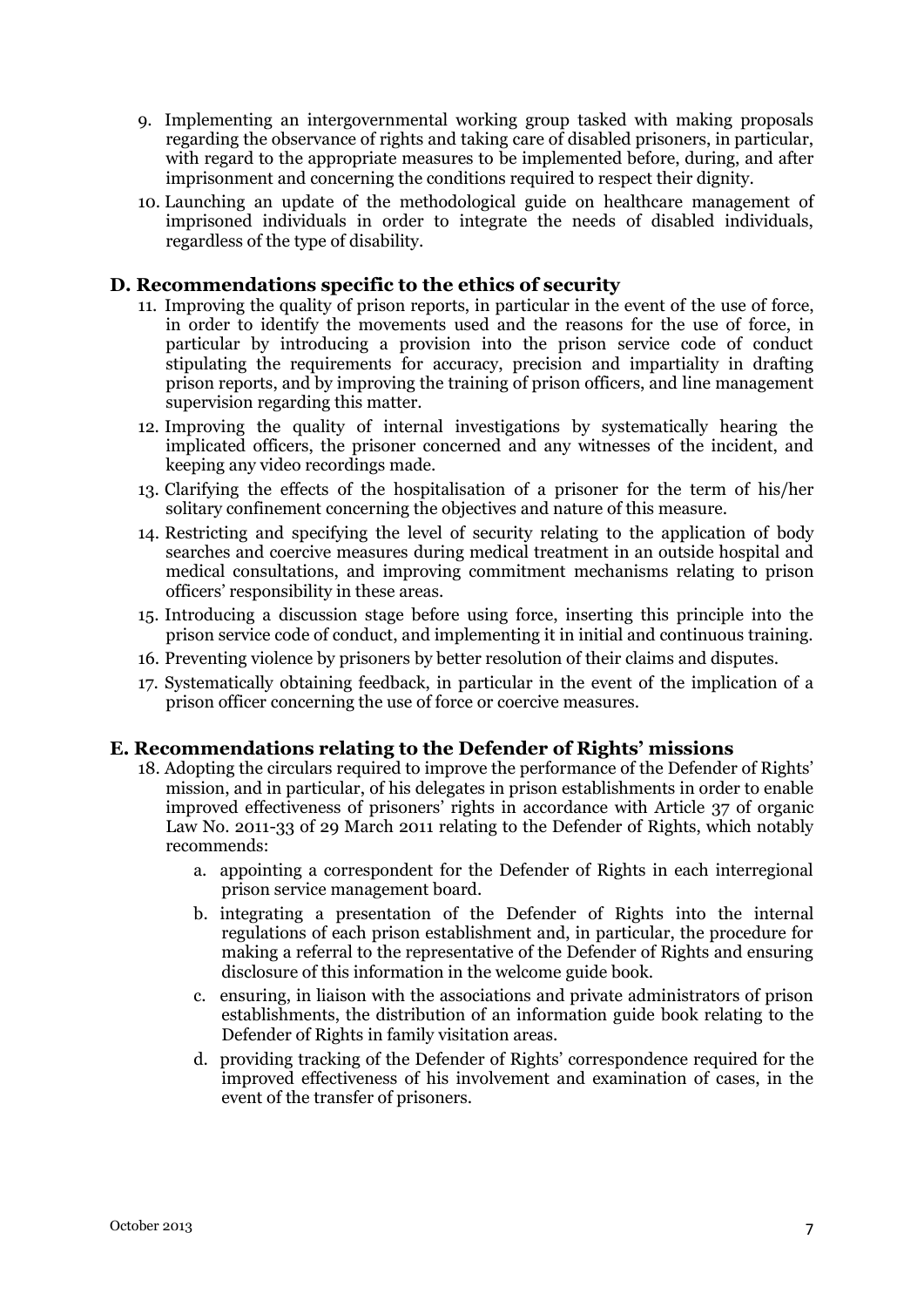- 9. Implementing an intergovernmental working group tasked with making proposals regarding the observance of rights and taking care of disabled prisoners, in particular, with regard to the appropriate measures to be implemented before, during, and after imprisonment and concerning the conditions required to respect their dignity.
- 10. Launching an update of the methodological guide on healthcare management of imprisoned individuals in order to integrate the needs of disabled individuals, regardless of the type of disability.

#### **D. Recommendations specific to the ethics of security**

- 11. Improving the quality of prison reports, in particular in the event of the use of force, in order to identify the movements used and the reasons for the use of force, in particular by introducing a provision into the prison service code of conduct stipulating the requirements for accuracy, precision and impartiality in drafting prison reports, and by improving the training of prison officers, and line management supervision regarding this matter.
- 12. Improving the quality of internal investigations by systematically hearing the implicated officers, the prisoner concerned and any witnesses of the incident, and keeping any video recordings made.
- 13. Clarifying the effects of the hospitalisation of a prisoner for the term of his/her solitary confinement concerning the objectives and nature of this measure.
- 14. Restricting and specifying the level of security relating to the application of body searches and coercive measures during medical treatment in an outside hospital and medical consultations, and improving commitment mechanisms relating to prison officers' responsibility in these areas.
- 15. Introducing a discussion stage before using force, inserting this principle into the prison service code of conduct, and implementing it in initial and continuous training.
- 16. Preventing violence by prisoners by better resolution of their claims and disputes.
- 17. Systematically obtaining feedback, in particular in the event of the implication of a prison officer concerning the use of force or coercive measures.

#### **E. Recommendations relating to the Defender of Rights' missions**

- 18. Adopting the circulars required to improve the performance of the Defender of Rights' mission, and in particular, of his delegates in prison establishments in order to enable improved effectiveness of prisoners' rights in accordance with Article 37 of organic Law No. 2011-33 of 29 March 2011 relating to the Defender of Rights, which notably recommends:
	- a. appointing a correspondent for the Defender of Rights in each interregional prison service management board.
	- b. integrating a presentation of the Defender of Rights into the internal regulations of each prison establishment and, in particular, the procedure for making a referral to the representative of the Defender of Rights and ensuring disclosure of this information in the welcome guide book.
	- c. ensuring, in liaison with the associations and private administrators of prison establishments, the distribution of an information guide book relating to the Defender of Rights in family visitation areas.
	- d. providing tracking of the Defender of Rights' correspondence required for the improved effectiveness of his involvement and examination of cases, in the event of the transfer of prisoners.